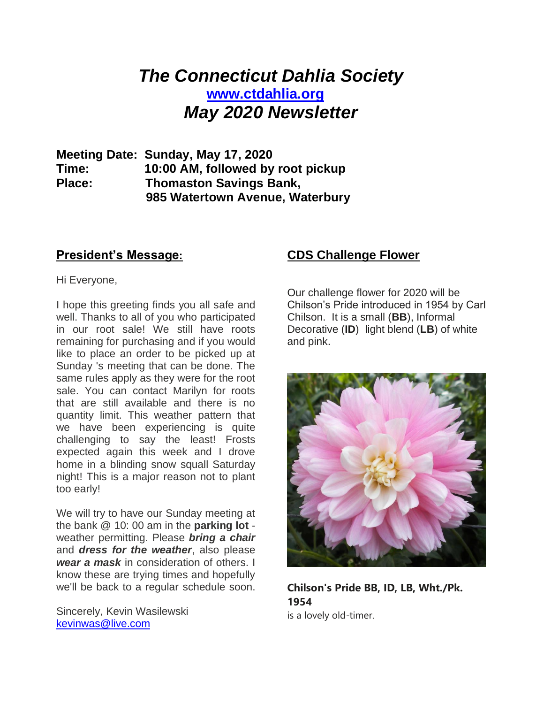# *The Connecticut Dahlia Society* **[www.ctdahlia.org](http://www.ctdahlia.org/)** *May 2020 Newsletter*

**Meeting Date: Sunday, May 17, 2020 Time: 10:00 AM, followed by root pickup Place: Thomaston Savings Bank, 985 Watertown Avenue, Waterbury** 

#### **President's Message:**

Hi Everyone,

I hope this greeting finds you all safe and well. Thanks to all of you who participated in our root sale! We still have roots remaining for purchasing and if you would like to place an order to be picked up at Sunday 's meeting that can be done. The same rules apply as they were for the root sale. You can contact Marilyn for roots that are still available and there is no quantity limit. This weather pattern that we have been experiencing is quite challenging to say the least! Frosts expected again this week and I drove home in a blinding snow squall Saturday night! This is a major reason not to plant too early!

We will try to have our Sunday meeting at the bank @ 10: 00 am in the **parking lot** weather permitting. Please *bring a chair* and *dress for the weather*, also please *wear a mask* in consideration of others. I know these are trying times and hopefully we'll be back to a regular schedule soon.

Sincerely, Kevin Wasilewski [kevinwas@live.com](mailto:kevinwas@live.com)

#### **CDS Challenge Flower**

Our challenge flower for 2020 will be Chilson's Pride introduced in 1954 by Carl Chilson. It is a small (**BB**), Informal Decorative (**ID**) light blend (**LB**) of white and pink.



**Chilson's Pride BB, ID, LB, Wht./Pk. 1954** is a lovely old-timer.